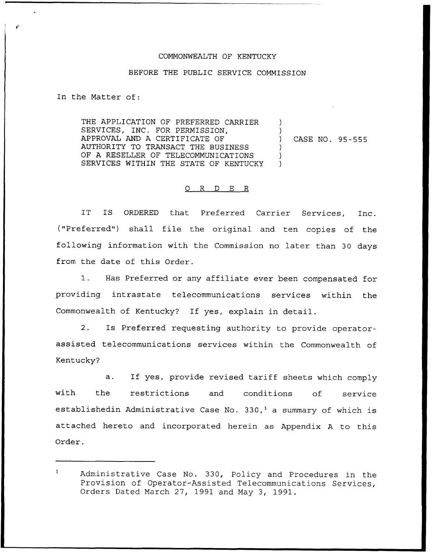## COMMONWEALTH OF KENTUCKY

## BEFORE THE PUBLIC SERVICE COMMISSION

In the Matter of:

THE APPLICATION QF PREFERRED CARRIER SERVICES, INC. FOR PERMISSION, APPROVAL AND A CERTIFICATE OF AUTHORITY TO TRANSACT THE BUSINESS OF A RESELLER OF TELECOMMUNICATIONS SERVICES WITHIN THE STATE OF KENTUCKY ) ) ) CASE NO. 95-555 ) ) )

## 0 R <sup>D</sup> E R

IT IS ORDERED that Preferred Carrier Services, Inc. ("Preferred") shall file the original and ten copies of the following information with the Commission no later than 30 days from the date of this Order.

1. Has Preferred or any affiliate ever been compensated for providing intrastate telecommunications services within the Commonwealth of Kentucky? If yes, explain in detail.

2. Is Preferred requesting authority to provide operatorassisted telecommunications services within the Commonwealth of Kentucky?

a. If yes, provide revised tariff sheets which comply with the restrictions and conditions of service establishedin Administrative Case No. 330,<sup>1</sup> a summary of which is attached hereto and incorporated herein as Appendix <sup>A</sup> to this Order.

 $\mathbf{1}$ Administrative Case No. 330, Policy and Procedures in the Provision of Operator-Assisted Telecommunications Services, Orders Dated March 27, 1991 and May 3, 1991.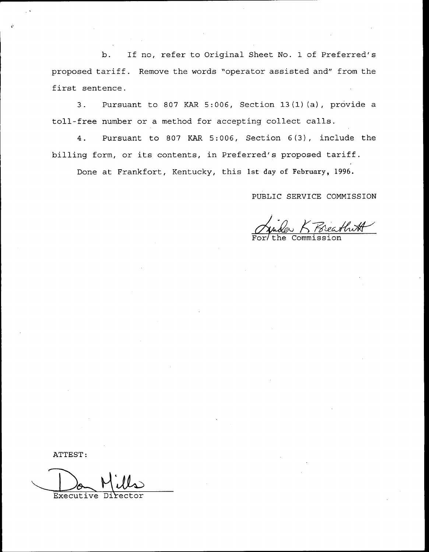b. If no, refer to Original Sheet No. <sup>1</sup> of Preferred's proposed tariff. Remove the words "operator assisted and" from the first sentence.

3. Pursuant to 807 KAR 5:006, Section 13(1)(a), provide a toll-free number or a method for accepting collect calls.

4. Pursuant to 807 KAR 5:006, Section 6(3), include the billing form, or its contents, in Preferred's proposed tariff.

Done at Frankfort, Kentucky, this 1st day of February, 1996.

PUBLIC SERVICE COMMISSION

rearthwat For/the Commissio

ATTEST:

Executive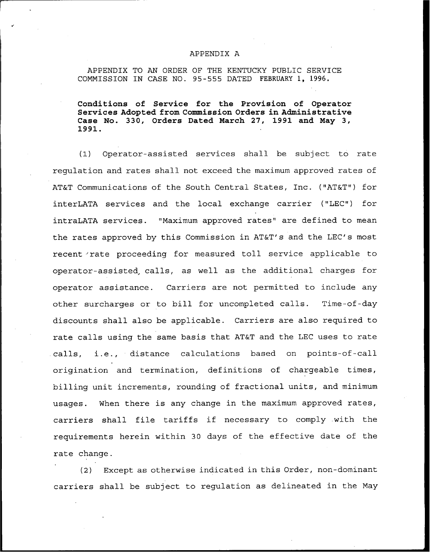## APPENDIX A

APPENDIX TO AN ORDER OF THE KENTUCKY PUBLIC SERVICE COMMISSION IN CASE NO. 95-555 DATED FEBRUARY 1, 1996.

Conditions of Service for the Provision of Operator Services Adopted from Commission Orders in Administrative Case No. 330, Orders Dated March 27, 1991 and May 3, 1991.

(1) Operator-assisted services shall be subject to rate regulation and rates shall not exceed the maximum approved rates of AT&T Communications of the South Central States, Inc. ("AT&T") for interLATA services and the local exchange carrier ("LEC") for intraLATA services. "Maximum approved rates" are defined to mean the rates approved by this Commission in AT&T's and the LEC's most recent rate proceeding for measured toll service applicable to operator-assisted, calls, as well as the additional charges for operator assistance. Carriers are not permitted to include any other surcharges or to bill for uncompleted calls. Time-of-day discounts shall also be applicable. Carriers are also required to rate calls using the same basis that AT&T and the LEC uses to rate .calls, i.e., distance calculations based on points-of-call origination and termination, definitions of chargeable times, billing unit increments, rounding of fractional units, and minimum usages. When there is any change in the maximum approved rates, carriers shall file tariffs if necessary to comply with the requirements herein within 30 days of the effective date of the rate change.

(2) Except as otherwise indicated in this Order, non-dominant carriers shall be subject to regulation as delineated in the May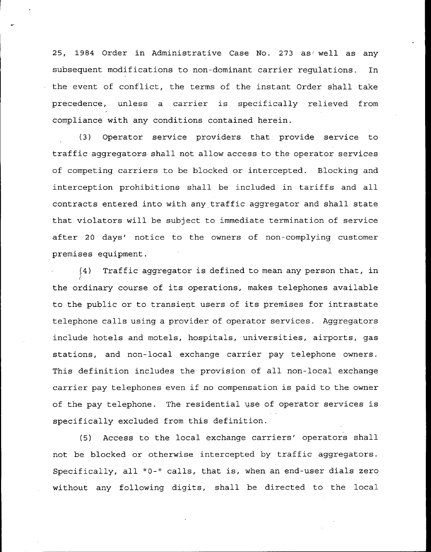25, 1984 Order in Administrative Case No. 273 as well as any subsequent modifications to non-dominant carrier regulations. In the event of conflict, the terms of the instant Order shall take precedence, unless a carrier is specifically relieved from compliance with any conditions contained herein.

(3) Operator service providers that provide service to traffic aggregators shall not allow access to the operator services of competing carriers to be blocked or intercepted. Blocking and interception prohibitions shall be included in tariffs and all contracts entered into with any traffic aggregator and shall state that violators will be subject to immediate termination of service after 20 days' notice to the owners of non-complying customer premises equipment .

(4) Traffic aggregator is defined to mean any person that, in the ordinary course of its operations, makes telephones available to the public or to transient users of its premises for intrastate telephone calls using a provider of operator services. Aggregators include hotels and motels, hospitals, universities, airports, gas stations, and non-local exchange carrier pay telephone owners. This definition includes the provision of all non-local exchange carrier pay telephones even if no compensation is paid to the owner of the pay telephone. The residential use of operator services is specifically excluded from this definition.

(5) Access to the local exchange carriers' operators shall not be blocked or otherwise intercepted by traffic aggregators. Specifically, all "0-" calls, that is, when an end-user dials zero without any following digits, shall be directed to the local